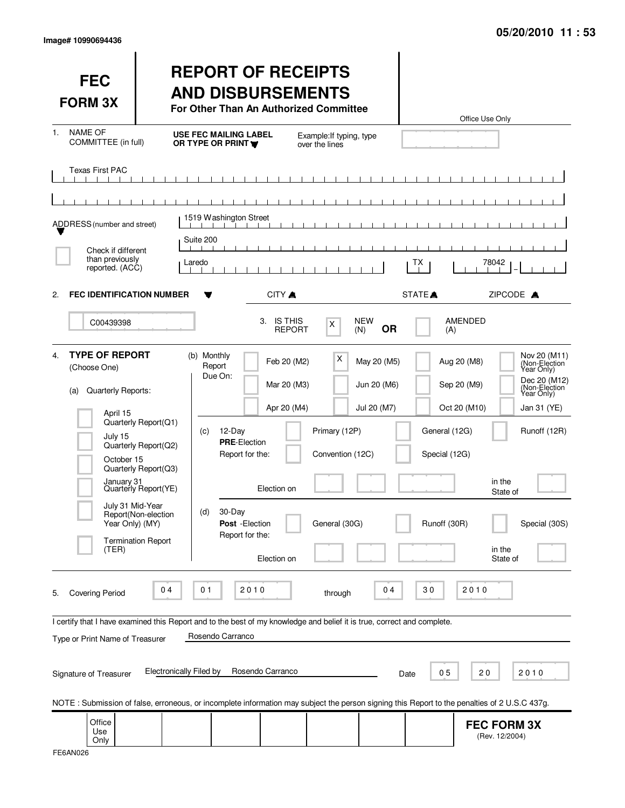| <b>FEC</b><br><b>FORM 3X</b>                                                                                                                                                  |                                                                                                                     | <b>REPORT OF RECEIPTS</b><br><b>AND DISBURSEMENTS</b><br>For Other Than An Authorized Committee                                                                 |                                                                                                      |                                           | Office Use Only                                                                                                    |                                                                                                                                            |
|-------------------------------------------------------------------------------------------------------------------------------------------------------------------------------|---------------------------------------------------------------------------------------------------------------------|-----------------------------------------------------------------------------------------------------------------------------------------------------------------|------------------------------------------------------------------------------------------------------|-------------------------------------------|--------------------------------------------------------------------------------------------------------------------|--------------------------------------------------------------------------------------------------------------------------------------------|
| <b>NAME OF</b><br>1.<br>COMMITTEE (in full)                                                                                                                                   |                                                                                                                     | <b>USE FEC MAILING LABEL</b><br>OR TYPE OR PRINT                                                                                                                | Example: If typing, type<br>over the lines                                                           |                                           |                                                                                                                    |                                                                                                                                            |
| <b>Texas First PAC</b>                                                                                                                                                        |                                                                                                                     | $\blacksquare$<br>$\sim$ 1.                                                                                                                                     | $\blacksquare$<br>$\sim$ 1.1                                                                         |                                           |                                                                                                                    |                                                                                                                                            |
| ADDRESS (number and street)                                                                                                                                                   |                                                                                                                     | 1519 Washington Street<br>Suite 200                                                                                                                             |                                                                                                      |                                           |                                                                                                                    |                                                                                                                                            |
| Check if different<br>than previously<br>reported. (ACC)                                                                                                                      | Laredo                                                                                                              |                                                                                                                                                                 |                                                                                                      | TХ                                        | 78042                                                                                                              |                                                                                                                                            |
| <b>FEC IDENTIFICATION NUMBER</b><br>2.                                                                                                                                        |                                                                                                                     | CITY A                                                                                                                                                          |                                                                                                      | STATE <sup>A</sup>                        |                                                                                                                    | ZIPCODE A                                                                                                                                  |
| C00439398                                                                                                                                                                     |                                                                                                                     | 3. IS THIS                                                                                                                                                      | X<br><b>REPORT</b>                                                                                   | <b>NEW</b><br><b>OR</b><br>(N)            | <b>AMENDED</b><br>(A)                                                                                              |                                                                                                                                            |
| <b>TYPE OF REPORT</b><br>4.<br>(Choose One)<br>Quarterly Reports:<br>(a)<br>April 15<br>July 15<br>October 15<br>January <sub>31</sub><br>July 31 Mid-Year<br>Year Only) (MY) | Quarterly Report(Q1)<br>Quarterly Report(Q2)<br>Quarterly Report(Q3)<br>Quarterly Report(YE)<br>Report(Non-election | (b) Monthly<br>Report<br>Due On:<br>12-Day<br>(c)<br><b>PRE-Election</b><br>Report for the:<br>Election on<br>30-Day<br>(d)<br>Post - Election                  | х<br>Feb 20 (M2)<br>Mar 20 (M3)<br>Apr 20 (M4)<br>Primary (12P)<br>Convention (12C)<br>General (30G) | May 20 (M5)<br>Jun 20 (M6)<br>Jul 20 (M7) | Aug 20 (M8)<br>Sep 20 (M9)<br>Oct 20 (M10)<br>General (12G)<br>Special (12G)<br>in the<br>State of<br>Runoff (30R) | Nov 20 (M11)<br>(Non-Election<br>Year Only)<br>Dec 20 (M12)<br>(Non-Election<br>Year Only)<br>Jan 31 (YE)<br>Runoff (12R)<br>Special (30S) |
| (TER)                                                                                                                                                                         | <b>Termination Report</b>                                                                                           | Report for the:<br>Election on                                                                                                                                  |                                                                                                      |                                           | in the<br>State of                                                                                                 |                                                                                                                                            |
| <b>Covering Period</b><br>5.                                                                                                                                                  | 04                                                                                                                  | 01<br>2010                                                                                                                                                      | through                                                                                              | 04                                        | 30<br>2010                                                                                                         |                                                                                                                                            |
| Type or Print Name of Treasurer<br>Signature of Treasurer                                                                                                                     | <b>Electronically Filed by</b>                                                                                      | I certify that I have examined this Report and to the best of my knowledge and belief it is true, correct and complete.<br>Rosendo Carranco<br>Rosendo Carranco |                                                                                                      | Date                                      | 05<br>20                                                                                                           | 2010                                                                                                                                       |
| NOTE: Submission of false, erroneous, or incomplete information may subject the person signing this Report to the penalties of 2 U.S.C 437g.<br>Office                        |                                                                                                                     |                                                                                                                                                                 |                                                                                                      |                                           |                                                                                                                    |                                                                                                                                            |
| Use<br>Only                                                                                                                                                                   |                                                                                                                     |                                                                                                                                                                 |                                                                                                      |                                           | <b>FEC FORM 3X</b><br>(Rev. 12/2004)                                                                               |                                                                                                                                            |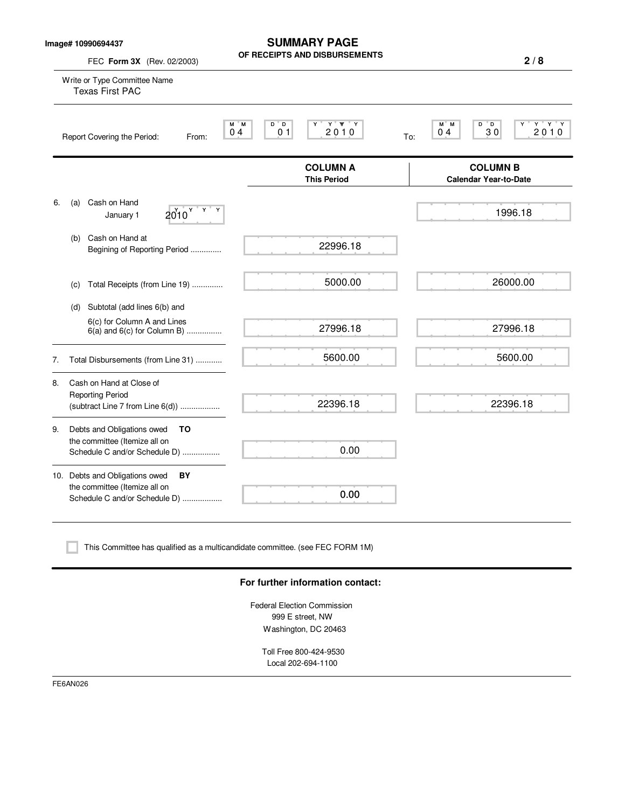**Image# 10990694437**

**SUMMARY PAGE OF RECEIPTS AND DISBURSEMENTS**

|    | FEC Form 3X (Rev. 02/2003)                                                                             | <b>19 AND DISDOITSEME</b>                                | 2/8                                                                             |
|----|--------------------------------------------------------------------------------------------------------|----------------------------------------------------------|---------------------------------------------------------------------------------|
|    | Write or Type Committee Name<br><b>Texas First PAC</b>                                                 |                                                          |                                                                                 |
|    | Report Covering the Period:<br>From:                                                                   | Y Y Y<br>M M<br>D D<br>Y<br>0 <sub>4</sub><br>01<br>2010 | $Y$ $Y$ $Y$<br>M M<br>$D^{\prime}D$<br>Υ<br>30<br>2010<br>0 <sub>4</sub><br>To: |
|    |                                                                                                        | <b>COLUMN A</b><br><b>This Period</b>                    | <b>COLUMN B</b><br><b>Calendar Year-to-Date</b>                                 |
| 6. | Cash on Hand<br>(a)<br>Y.<br>$2010^y$<br>Y<br>January 1                                                |                                                          | 1996.18                                                                         |
|    | Cash on Hand at<br>(b)<br>Begining of Reporting Period                                                 | 22996.18                                                 |                                                                                 |
|    | Total Receipts (from Line 19)<br>(c)                                                                   | 5000.00                                                  | 26000.00                                                                        |
|    | Subtotal (add lines 6(b) and<br>(d)                                                                    |                                                          |                                                                                 |
|    | 6(c) for Column A and Lines<br>$6(a)$ and $6(c)$ for Column B)                                         | 27996.18                                                 | 27996.18                                                                        |
| 7. | Total Disbursements (from Line 31)                                                                     | 5600.00                                                  | 5600.00                                                                         |
| 8. | Cash on Hand at Close of<br><b>Reporting Period</b><br>(subtract Line 7 from Line 6(d))                | 22396.18                                                 | 22396.18                                                                        |
| 9. | Debts and Obligations owed<br>TO<br>the committee (Itemize all on<br>Schedule C and/or Schedule D)     | 0.00                                                     |                                                                                 |
|    | 10. Debts and Obligations owed<br>BY<br>the committee (Itemize all on<br>Schedule C and/or Schedule D) | 0.00                                                     |                                                                                 |
|    |                                                                                                        |                                                          |                                                                                 |

This Committee has qualified as a multicandidate committee. (see FEC FORM 1M)

### **For further information contact:**

Federal Election Commission 999 E street, NW Washington, DC 20463

Toll Free 800-424-9530 Local 202-694-1100

FE6AN026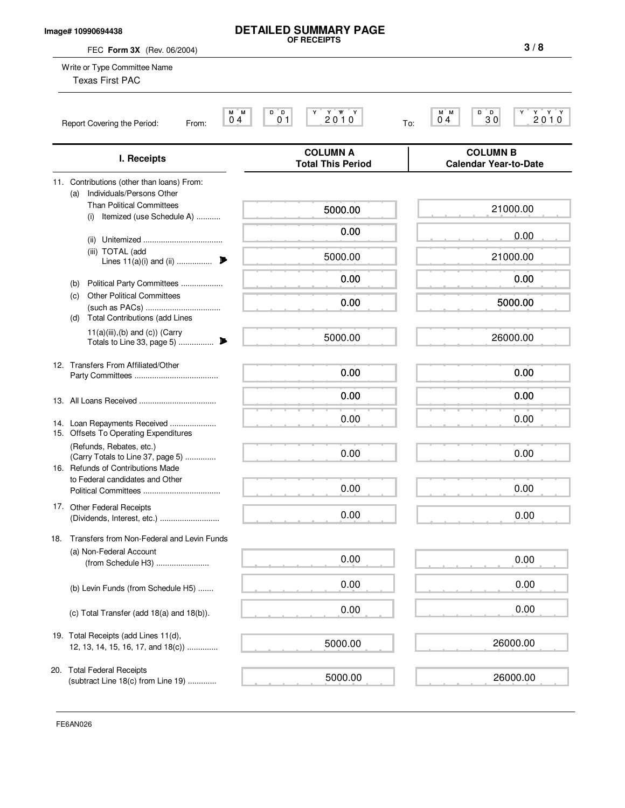#### **Image# 10990694438**

#### **DETAILED SUMMARY PAGE OF RECEIPTS**

FEC **Form 3X** (Rev. 06/2004) Write or Type Committee Name M M D D Y Y YY Y M M D D Y Y Y Y Report Covering the Period: From:  $04^{\degree}$   $01^{\degree}$   $01^{\degree}$   $20^{\degree}$  0  $1^{\degree}$  To: **COLUMN A COLUMN B I. Receipts Total This Period Calendar Year-to-Date** 11. Contributions (other than loans) From: (a) Individuals/Persons Other Than Political Committees (i) Itemized (use Schedule A) ........... (ii) Unitemized .................................... (iii) TOTAL (add Lines 11(a)(i) and (ii) ................ . (b) Political Party Committees ................... (c) Other Political Committees (such as PACs) .................................. (d) Total Contributions (add Lines  $11(a)(iii),(b)$  and  $(c))$  (Carry Totals to Line 33, page 5) ................ . 12. Transfers From Affiliated/Other Party Committees ...................................... 13. All Loans Received ................................... 14. Loan Repayments Received ..................... 15. Offsets To Operating Expenditures (Refunds, Rebates, etc.) (Carry Totals to Line 37, page 5) .............. 16. Refunds of Contributions Made to Federal candidates and Other Political Committees ................................... 17. Other Federal Receipts (Dividends, Interest, etc.) ........................... 18. Transfers from Non-Federal and Levin Funds (a) Non-Federal Account (from Schedule H3) ........................ (b) Levin Funds (from Schedule H5) ....... (c) Total Transfer (add 18(a) and 18(b)). 19. Total Receipts (add Lines 11(d), 12, 13, 14, 15, 16, 17, and 18(c)) .............. 20. Total Federal Receipts (subtract Line 18(c) from Line 19) .............  $0.4$  0 1 2 0 1 0  $\frac{1}{10}$  0 4 3 0 2 0 1 0 Texas First PAC **3 / 8** 5000.00 0.00 5000.00 0.00 0.00 5000.00 0.00 0.00 0.00 0.00 0.00 0.00 0.00 0.00 0.00 5000.00 5000.00 21000.00 0.00 21000.00 0.00 5000.00 26000.00 0.00 0.00 0.00 0.00 0.00 0.00 0.00 0.00 0.00 26000.00 26000.00

FE6AN026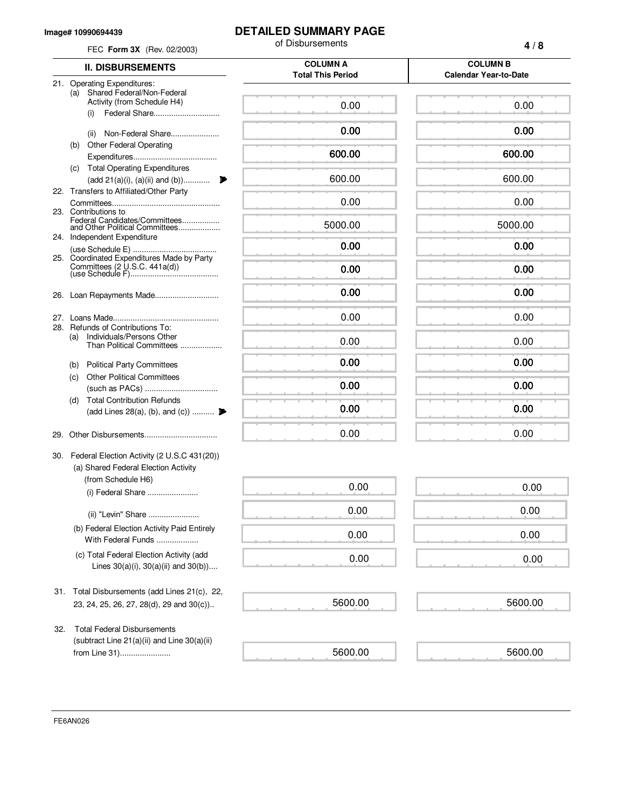#### **Image# 10990694439**

FE6AN026

# **DETAILED SUMMARY PAGE**

|     | FEC Form 3X (Rev. 02/2003)                                                               | of Disbursements                            | 4/8                                             |
|-----|------------------------------------------------------------------------------------------|---------------------------------------------|-------------------------------------------------|
|     | <b>II. DISBURSEMENTS</b>                                                                 | <b>COLUMN A</b><br><b>Total This Period</b> | <b>COLUMN B</b><br><b>Calendar Year-to-Date</b> |
|     | 21. Operating Expenditures:<br>Shared Federal/Non-Federal<br>(a)                         |                                             |                                                 |
|     | Activity (from Schedule H4)<br>(i)                                                       | 0.00                                        | 0.00                                            |
|     | Non-Federal Share<br>(ii)                                                                | 0.00                                        | 0.00                                            |
|     | <b>Other Federal Operating</b><br>(b)                                                    | 600.00                                      | 600.00                                          |
|     | (c) Total Operating Expenditures<br>(add 21(a)(i), (a)(ii) and (b))                      | 600.00                                      | 600.00                                          |
|     | 22. Transfers to Affiliated/Other Party                                                  |                                             |                                                 |
|     | 23. Contributions to                                                                     | 0.00                                        | 0.00                                            |
|     | Federal Candidates/Committees<br>and Other Political Committees                          | 5000.00                                     | 5000.00                                         |
|     | 24. Independent Expenditure                                                              | 0.00                                        | 0.00                                            |
|     | 25. Coordinated Expenditures Made by Party                                               | 0.00                                        | 0.00                                            |
|     |                                                                                          | 0.00                                        | 0.00                                            |
|     |                                                                                          | 0.00                                        | 0.00                                            |
|     | 28. Refunds of Contributions To:<br>Individuals/Persons Other<br>(a)                     | 0.00                                        | 0.00                                            |
|     | Than Political Committees<br><b>Political Party Committees</b><br>(b)                    | 0.00                                        | 0.00                                            |
|     | <b>Other Political Committees</b><br>(c)                                                 |                                             |                                                 |
|     |                                                                                          | 0.00                                        | 0.00                                            |
|     | <b>Total Contribution Refunds</b><br>(d)<br>(add Lines 28(a), (b), and (c))              | 0.00                                        | 0.00                                            |
| 29. |                                                                                          | 0.00                                        | 0.00                                            |
|     | 30. Federal Election Activity (2 U.S.C 431(20))<br>(a) Shared Federal Election Activity  |                                             |                                                 |
|     | (from Schedule H6)<br>(i) Federal Share                                                  | 0.00                                        | 0.00                                            |
|     | (ii) "Levin" Share                                                                       | 0.00                                        | 0.00                                            |
|     | (b) Federal Election Activity Paid Entirely<br>With Federal Funds                        | 0.00                                        | 0.00                                            |
|     | (c) Total Federal Election Activity (add<br>Lines $30(a)(i)$ , $30(a)(ii)$ and $30(b)$ ) | 0.00                                        | 0.00                                            |
| 31. | Total Disbursements (add Lines 21(c), 22,<br>23, 24, 25, 26, 27, 28(d), 29 and 30(c))    | 5600.00                                     | 5600.00                                         |
|     |                                                                                          |                                             |                                                 |
| 32. | <b>Total Federal Disbursements</b><br>(subtract Line $21(a)(ii)$ and Line $30(a)(ii)$    |                                             |                                                 |
|     | from Line 31)                                                                            | 5600.00                                     | 5600.00                                         |

 $\frac{1}{2}$  $\overline{\phantom{a}}$  $\overline{\phantom{a}}$ 

 $\overline{\phantom{a}}$ 

 $\frac{1}{1-\frac{1}{1-\frac{1}{1-\frac{1}{1-\frac{1}{1-\frac{1}{1-\frac{1}{1-\frac{1}{1-\frac{1}{1-\frac{1}{1-\frac{1}{1-\frac{1}{1-\frac{1}{1-\frac{1}{1-\frac{1}{1-\frac{1}{1-\frac{1}{1-\frac{1}{1-\frac{1}{1-\frac{1}{1-\frac{1}{1-\frac{1}{1-\frac{1}{1-\frac{1}{1-\frac{1}{1-\frac{1}{1-\frac{1}{1-\frac{1}{1-\frac{1}{1-\frac{1}{1-\frac{1}{1-\frac{1}{1-\frac{1}{1-\frac{1}{1-\frac{1}{1-\frac{1}{1-\frac{1$ 

 $\equiv$ 

 $\equiv$ 

لصد

 $\sim$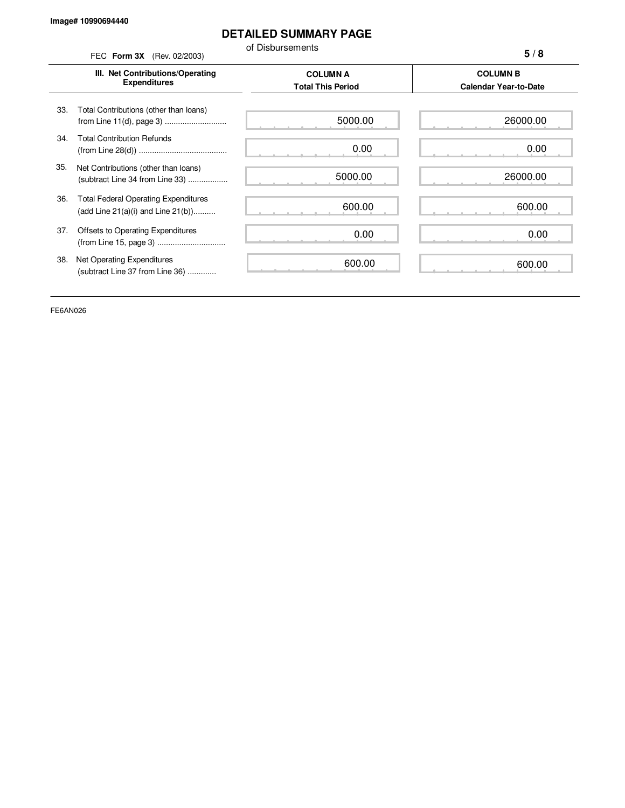## **DETAILED SUMMARY PAGE**

of Disbursements

|     | FEC Form 3X (Rev. 02/2003)                                                             | or Disbursements                            | 5/8                                             |
|-----|----------------------------------------------------------------------------------------|---------------------------------------------|-------------------------------------------------|
|     | III. Net Contributions/Operating<br><b>Expenditures</b>                                | <b>COLUMN A</b><br><b>Total This Period</b> | <b>COLUMN B</b><br><b>Calendar Year-to-Date</b> |
| 33. | Total Contributions (other than loans)                                                 | 5000.00                                     | 26000.00                                        |
| 34. | <b>Total Contribution Refunds</b>                                                      | 0.00                                        | 0.00                                            |
| 35. | Net Contributions (other than loans)<br>(subtract Line 34 from Line 33)                | 5000.00                                     | 26000.00                                        |
| 36. | <b>Total Federal Operating Expenditures</b><br>(add Line $21(a)(i)$ and Line $21(b)$ ) | 600.00                                      | 600.00                                          |
| 37. | Offsets to Operating Expenditures                                                      | 0.00                                        | 0.00                                            |
| 38. | Net Operating Expenditures<br>(subtract Line 37 from Line 36)                          | 600.00                                      | 600.00                                          |

FE6AN026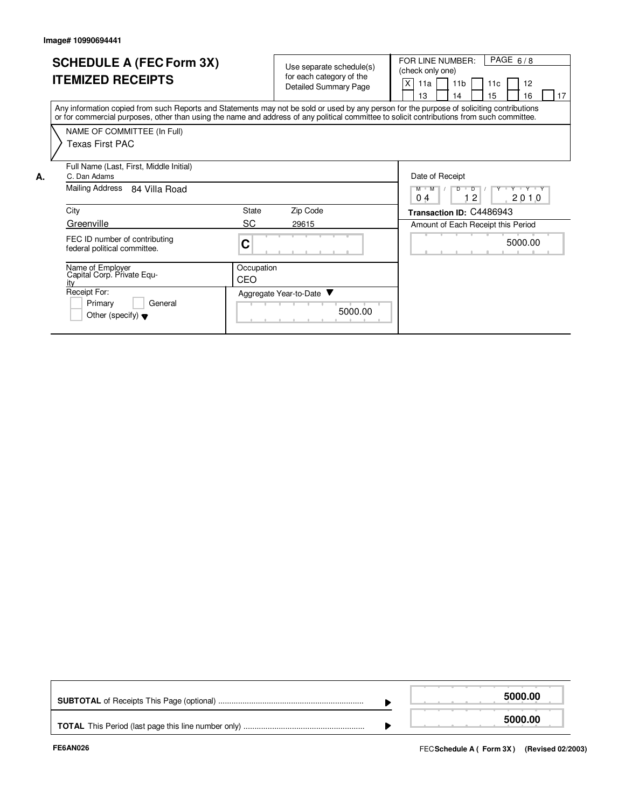|    | <b>SCHEDULE A (FEC Form 3X)</b><br><b>ITEMIZED RECEIPTS</b>                                                                                                                                                                                                                             |                   | Use separate schedule(s)<br>for each category of the<br><b>Detailed Summary Page</b> | PAGE $6/8$<br>FOR LINE NUMBER:<br>(check only one)<br>X<br>11a<br>11 <sub>b</sub><br>12<br>11c<br>17<br>15<br>13<br>14<br>16 |
|----|-----------------------------------------------------------------------------------------------------------------------------------------------------------------------------------------------------------------------------------------------------------------------------------------|-------------------|--------------------------------------------------------------------------------------|------------------------------------------------------------------------------------------------------------------------------|
|    | Any information copied from such Reports and Statements may not be sold or used by any person for the purpose of soliciting contributions<br>or for commercial purposes, other than using the name and address of any political committee to solicit contributions from such committee. |                   |                                                                                      |                                                                                                                              |
|    | NAME OF COMMITTEE (In Full)<br>Texas First PAC                                                                                                                                                                                                                                          |                   |                                                                                      |                                                                                                                              |
| А. | Full Name (Last, First, Middle Initial)<br>C. Dan Adams                                                                                                                                                                                                                                 |                   |                                                                                      | Date of Receipt                                                                                                              |
|    | Mailing Address<br>84 Villa Road                                                                                                                                                                                                                                                        |                   |                                                                                      | Y Y Y Y Y<br>$M$ $M$<br>$\overline{D}$<br>12<br>0 <sub>4</sub><br>2010                                                       |
|    | City                                                                                                                                                                                                                                                                                    | State             | Zip Code                                                                             | Transaction ID: C4486943                                                                                                     |
|    | Greenville                                                                                                                                                                                                                                                                              | SC                | 29615                                                                                | Amount of Each Receipt this Period                                                                                           |
|    | FEC ID number of contributing<br>federal political committee.                                                                                                                                                                                                                           | C                 |                                                                                      | 5000.00                                                                                                                      |
|    | Name of Employer<br>Capital Corp. Private Equ-<br>ity                                                                                                                                                                                                                                   | Occupation<br>CEO |                                                                                      |                                                                                                                              |
|    | Receipt For:<br>Primary<br>General<br>Other (specify) $\blacktriangledown$                                                                                                                                                                                                              |                   | Aggregate Year-to-Date ▼<br>5000.00                                                  |                                                                                                                              |

|  | 5000.00 |
|--|---------|
|  | 5000.00 |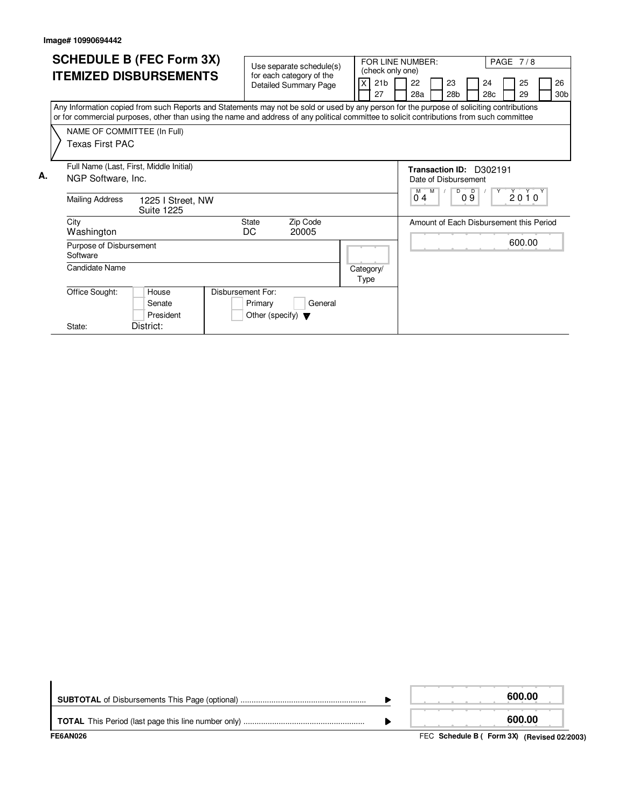|    | <b>SCHEDULE B (FEC Form 3X)</b><br><b>ITEMIZED DISBURSEMENTS</b>                                                                                                                                                                                                                                                                         | Use separate schedule(s)<br>for each category of the<br><b>Detailed Summary Page</b> | FOR LINE NUMBER:<br>(check only one)<br>21 <sub>b</sub><br>27 | 22<br>23<br>28 <sub>b</sub><br>28a                                                            | <b>PAGE 7/8</b><br>24<br>25<br>26<br>28c<br>29<br>30 <sub>b</sub> |
|----|------------------------------------------------------------------------------------------------------------------------------------------------------------------------------------------------------------------------------------------------------------------------------------------------------------------------------------------|--------------------------------------------------------------------------------------|---------------------------------------------------------------|-----------------------------------------------------------------------------------------------|-------------------------------------------------------------------|
|    | Any Information copied from such Reports and Statements may not be sold or used by any person for the purpose of soliciting contributions<br>or for commercial purposes, other than using the name and address of any political committee to solicit contributions from such committee<br>NAME OF COMMITTEE (In Full)<br>Texas First PAC |                                                                                      |                                                               |                                                                                               |                                                                   |
| А. | Full Name (Last, First, Middle Initial)<br>NGP Software, Inc.<br><b>Mailing Address</b><br>1225 I Street, NW<br><b>Suite 1225</b>                                                                                                                                                                                                        |                                                                                      |                                                               | Transaction ID: D302191<br>Date of Disbursement<br>D<br>$M$ $M$<br>$\overline{D}$<br>09<br>04 | $Y^{\dagger}$<br>$2010^y$                                         |
|    | City<br>Washington<br>Purpose of Disbursement<br>Software                                                                                                                                                                                                                                                                                | Zip Code<br><b>State</b><br>DC<br>20005                                              |                                                               |                                                                                               | Amount of Each Disbursement this Period<br>600.00                 |
|    | Candidate Name                                                                                                                                                                                                                                                                                                                           |                                                                                      | Category/<br>Type                                             |                                                                                               |                                                                   |
|    | Disbursement For:<br>Office Sought:<br>House<br>Senate<br>President<br>District:<br>State:                                                                                                                                                                                                                                               | General<br>Primary<br>Other (specify) $\blacktriangledown$                           |                                                               |                                                                                               |                                                                   |

| FE6AN026 | FEC Schedule B ( Form 3X) (Revised 02/2003) |
|----------|---------------------------------------------|
|          | 600.00                                      |
|          | 600.00                                      |